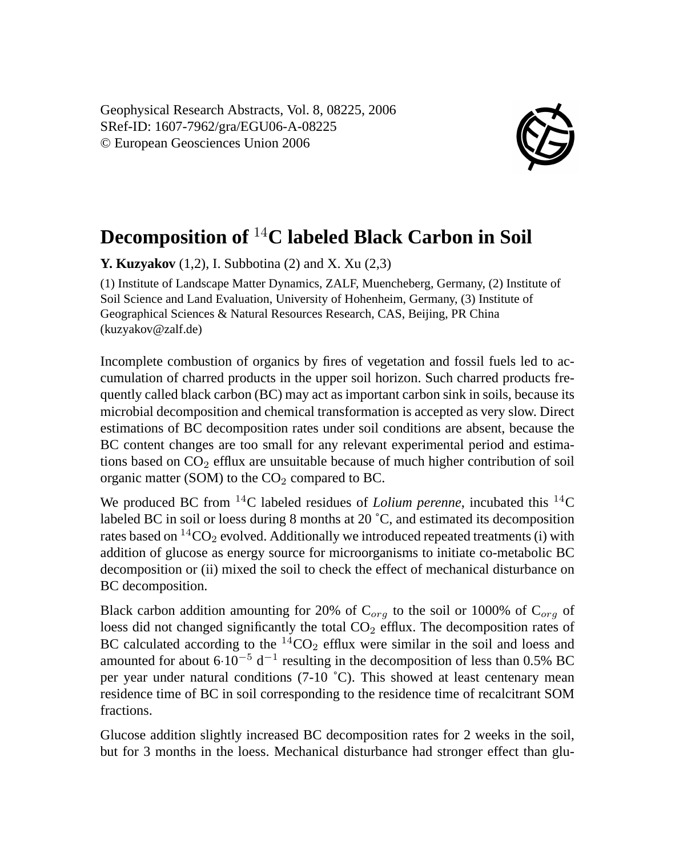Geophysical Research Abstracts, Vol. 8, 08225, 2006 SRef-ID: 1607-7962/gra/EGU06-A-08225 © European Geosciences Union 2006



## **Decomposition of** <sup>14</sup>**C labeled Black Carbon in Soil**

**Y. Kuzyakov** (1,2), I. Subbotina (2) and X. Xu (2,3)

(1) Institute of Landscape Matter Dynamics, ZALF, Muencheberg, Germany, (2) Institute of Soil Science and Land Evaluation, University of Hohenheim, Germany, (3) Institute of Geographical Sciences & Natural Resources Research, CAS, Beijing, PR China (kuzyakov@zalf.de)

Incomplete combustion of organics by fires of vegetation and fossil fuels led to accumulation of charred products in the upper soil horizon. Such charred products frequently called black carbon (BC) may act as important carbon sink in soils, because its microbial decomposition and chemical transformation is accepted as very slow. Direct estimations of BC decomposition rates under soil conditions are absent, because the BC content changes are too small for any relevant experimental period and estimations based on  $CO<sub>2</sub>$  efflux are unsuitable because of much higher contribution of soil organic matter (SOM) to the  $CO<sub>2</sub>$  compared to BC.

We produced BC from <sup>14</sup>C labeled residues of *Lolium perenne*, incubated this <sup>14</sup>C labeled BC in soil or loess during 8 months at 20 ˚C, and estimated its decomposition rates based on  $^{14}CO_2$  evolved. Additionally we introduced repeated treatments (i) with addition of glucose as energy source for microorganisms to initiate co-metabolic BC decomposition or (ii) mixed the soil to check the effect of mechanical disturbance on BC decomposition.

Black carbon addition amounting for 20% of  $C_{org}$  to the soil or 1000% of  $C_{org}$  of loess did not changed significantly the total CO<sub>2</sub> efflux. The decomposition rates of BC calculated according to the  ${}^{14}CO_2$  efflux were similar in the soil and loess and amounted for about  $6·10<sup>-5</sup> d<sup>-1</sup>$  resulting in the decomposition of less than 0.5% BC per year under natural conditions  $(7-10 \degree C)$ . This showed at least centenary mean residence time of BC in soil corresponding to the residence time of recalcitrant SOM fractions.

Glucose addition slightly increased BC decomposition rates for 2 weeks in the soil, but for 3 months in the loess. Mechanical disturbance had stronger effect than glu